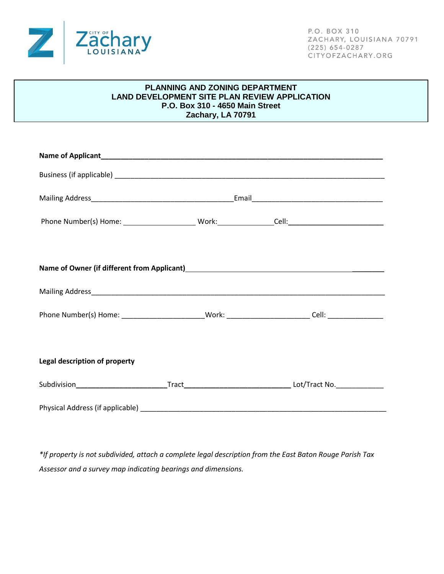

## **PLANNING AND ZONING DEPARTMENT LAND DEVELOPMENT SITE PLAN REVIEW APPLICATION P.O. Box 310 - 4650 Main Street Zachary, LA 70791**

| Phone Number(s) Home: __________________________Work: ________________Cell: __________________________________ |  |  |
|----------------------------------------------------------------------------------------------------------------|--|--|
|                                                                                                                |  |  |
| Name of Owner (if different from Applicant)<br>Name of Owner (if different from Applicant)                     |  |  |
|                                                                                                                |  |  |
| Phone Number(s) Home: ________________________Work: ________________________Cell: __________________           |  |  |
|                                                                                                                |  |  |
| Legal description of property                                                                                  |  |  |
| Subdivision______________________________Tract__________________________________Lot/Tract No._____________     |  |  |
|                                                                                                                |  |  |

*\*If property is not subdivided, attach a complete legal description from the East Baton Rouge Parish Tax Assessor and a survey map indicating bearings and dimensions.*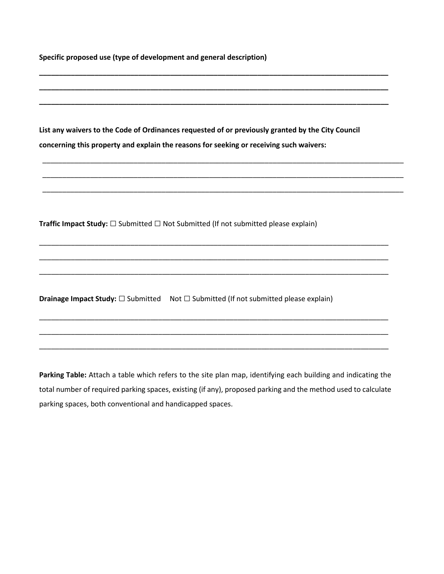| Specific proposed use (type of development and general description)                                                                                                                          |  |  |  |
|----------------------------------------------------------------------------------------------------------------------------------------------------------------------------------------------|--|--|--|
| List any waivers to the Code of Ordinances requested of or previously granted by the City Council<br>concerning this property and explain the reasons for seeking or receiving such waivers: |  |  |  |
| <b>Traffic Impact Study:</b> $\square$ Submitted $\square$ Not Submitted (If not submitted please explain)                                                                                   |  |  |  |
|                                                                                                                                                                                              |  |  |  |
| <b>Drainage Impact Study:</b> $\square$ Submitted Not $\square$ Submitted (If not submitted please explain)                                                                                  |  |  |  |
|                                                                                                                                                                                              |  |  |  |

**Parking Table:** Attach a table which refers to the site plan map, identifying each building and indicating the total number of required parking spaces, existing (if any), proposed parking and the method used to calculate parking spaces, both conventional and handicapped spaces.